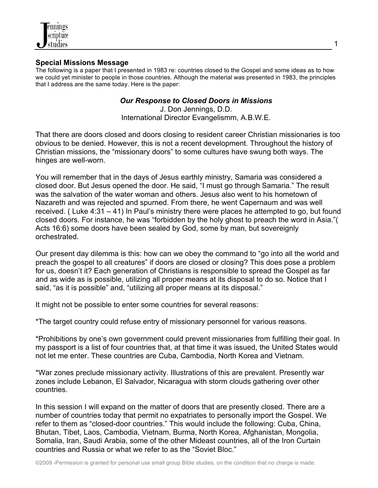

## **Special Missions Message**

The following is a paper that I presented in 1983 re: countries closed to the Gospel and some ideas as to how we could yet minister to people in those countries. Although the material was presented in 1983, the principles that I address are the same today. Here is the paper:

## *Our Response to Closed Doors in Missions*

J. Don Jennings, D.D. International Director Evangelismm, A.B.W.E.

That there are doors closed and doors closing to resident career Christian missionaries is too obvious to be denied. However, this is not a recent development. Throughout the history of Christian missions, the "missionary doors" to some cultures have swung both ways. The hinges are well-worn.

You will remember that in the days of Jesus earthly ministry, Samaria was considered a closed door. But Jesus opened the door. He said, "I must go through Samaria." The result was the salvation of the water woman and others. Jesus also went to his hometown of Nazareth and was rejected and spurned. From there, he went Capernaum and was well received. ( Luke 4:31 – 41) In Paul's ministry there were places he attempted to go, but found closed doors. For instance, he was "forbidden by the holy ghost to preach the word in Asia."( Acts 16:6) some doors have been sealed by God, some by man, but sovereignly orchestrated.

Our present day dilemma is this: how can we obey the command to "go into all the world and preach the gospel to all creatures" if doors are closed or closing? This does pose a problem for us, doesn't it? Each generation of Christians is responsible to spread the Gospel as far and as wide as is possible, utilizing all proper means at its disposal to do so. Notice that I said, "as it is possible" and, "utilizing all proper means at its disposal."

It might not be possible to enter some countries for several reasons:

\*The target country could refuse entry of missionary personnel for various reasons.

\*Prohibitions by one's own government could prevent missionaries from fulfilling their goal. In my passport is a list of four countries that, at that time it was issued, the United States would not let me enter. These countries are Cuba, Cambodia, North Korea and Vietnam.

\*War zones preclude missionary activity. Illustrations of this are prevalent. Presently war zones include Lebanon, El Salvador, Nicaragua with storm clouds gathering over other countries.

In this session I will expand on the matter of doors that are presently closed. There are a number of countries today that permit no expatriates to personally import the Gospel. We refer to them as "closed-door countries." This would include the following: Cuba, China, Bhutan, Tibet, Laos, Cambodia, Vietnam, Burma, North Korea, Afghanistan, Mongolia, Somalia, Iran, Saudi Arabia, some of the other Mideast countries, all of the Iron Curtain countries and Russia or what we refer to as the "Soviet Bloc."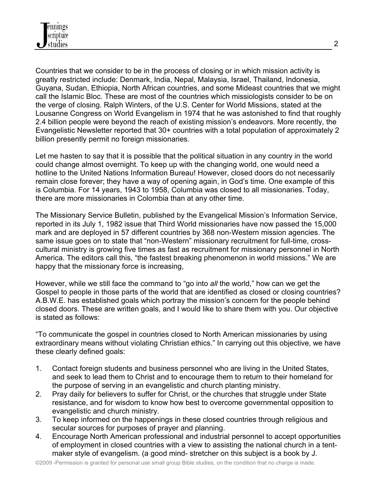Countries that we consider to be in the process of closing or in which mission activity is greatly restricted include: Denmark, India, Nepal, Malaysia, Israel, Thailand, Indonesia, Guyana, Sudan, Ethiopia, North African countries, and some Mideast countries that we might call the Islamic Bloc. These are most of the countries which missiologists consider to be on the verge of closing. Ralph Winters, of the U.S. Center for World Missions, stated at the Lousanne Congress on World Evangelism in 1974 that he was astonished to find that roughly 2.4 billion people were beyond the reach of existing mission's endeavors. More recently, the Evangelistic Newsletter reported that 30+ countries with a total population of approximately 2 billion presently permit no foreign missionaries.

Let me hasten to say that it is possible that the political situation in any country in the world could change almost overnight. To keep up with the changing world, one would need a hotline to the United Nations Information Bureau! However, closed doors do not necessarily remain close forever; they have a way of opening again, in God's time. One example of this is Columbia. For 14 years, 1943 to 1958, Columbia was closed to all missionaries. Today, there are more missionaries in Colombia than at any other time.

The Missionary Service Bulletin, published by the Evangelical Mission's Information Service, reported in its July 1, 1982 issue that Third World missionaries have now passed the 15,000 mark and are deployed in 57 different countries by 368 non-Western mission agencies. The same issue goes on to state that "non-Western" missionary recruitment for full-time, crosscultural ministry is growing five times as fast as recruitment for missionary personnel in North America. The editors call this, "the fastest breaking phenomenon in world missions." We are happy that the missionary force is increasing,

However, while we still face the command to "go into *all* the world," how can we get the Gospel to people in those parts of the world that are identified as closed or closing countries? A.B.W.E. has established goals which portray the mission's concern for the people behind closed doors. These are written goals, and I would like to share them with you. Our objective is stated as follows:

"To communicate the gospel in countries closed to North American missionaries by using extraordinary means without violating Christian ethics." In carrying out this objective, we have these clearly defined goals:

- 1. Contact foreign students and business personnel who are living in the United States, and seek to lead them to Christ and to encourage them to return to their homeland for the purpose of serving in an evangelistic and church planting ministry.
- 2. Pray daily for believers to suffer for Christ, or the churches that struggle under State resistance, and for wisdom to know how best to overcome governmental opposition to evangelistic and church ministry.
- 3. To keep informed on the happenings in these closed countries through religious and secular sources for purposes of prayer and planning.
- 4. Encourage North American professional and industrial personnel to accept opportunities of employment in closed countries with a view to assisting the national church in a tentmaker style of evangelism. (a good mind- stretcher on this subject is a book by J.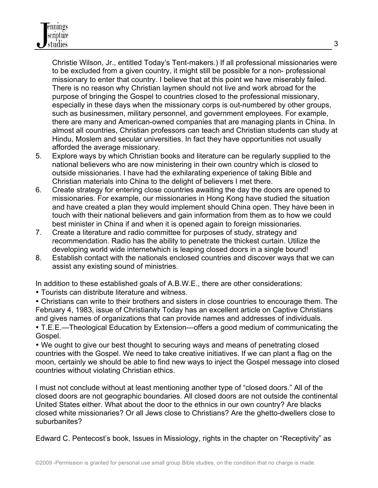Christie Wilson, Jr., entitled Today's Tent-makers.) If all professional missionaries were to be excluded from a given country, it might still be possible for a non- professional missionary to enter that country. I believe that at this point we have miserably failed. There is no reason why Christian laymen should not live and work abroad for the purpose of bringing the Gospel to countries closed to the professional missionary, especially in these days when the missionary corps is out-numbered by other groups, such as businessmen, military personnel, and government employees. For example, there are many and American-owned companies that are managing plants in China. In almost all countries, Christian professors can teach and Christian students can study at Hindu, Moslem and secular universities. In fact they have opportunities not usually afforded the average missionary.

- 5. Explore ways by which Christian books and literature can be regularly supplied to the national believers who are now ministering in their own country which is closed to outside missionaries. I have had the exhilarating experience of taking Bible and Christian materials into China to the delight of believers I met there.
- 6. Create strategy for entering close countries awaiting the day the doors are opened to missionaries. For example, our missionaries in Hong Kong have studied the situation and have created a plan they would implement should China open. They have been in touch with their national believers and gain information from them as to how we could best minister in China if and when it is opened again to foreign missionaries.
- 7. Create a literature and radio committee for purposes of study, strategy and recommendation. Radio has the ability to penetrate the thickest curtain. Utilize the developing world wide internetwhich is leaping closed doors in a single bound!
- 8. Establish contact with the nationals enclosed countries and discover ways that we can assist any existing sound of ministries.

In addition to these established goals of A.B.W.E., there are other considerations:

• Tourists can distribute literature and witness.

• Christians can write to their brothers and sisters in close countries to encourage them. The February 4, 1983, issue of Christianity Today has an excellent article on Captive Christians and gives names of organizations that can provide names and addresses of individuals.

• T.E.E.—Theological Education by Extension—offers a good medium of communicating the Gospel.

• We ought to give our best thought to securing ways and means of penetrating closed countries with the Gospel. We need to take creative initiatives. If we can plant a flag on the moon, certainly we should be able to find new ways to inject the Gospel message into closed countries without violating Christian ethics.

I must not conclude without at least mentioning another type of "closed doors." All of the closed doors are not geographic boundaries. All closed doors are not outside the continental United States either. What about the door to the ethnics in our own country? Are blacks closed white missionaries? Or all Jews close to Christians? Are the ghetto-dwellers close to suburbanites?

Edward C. Pentecost's book, Issues in Missiology, rights in the chapter on "Receptivity" as